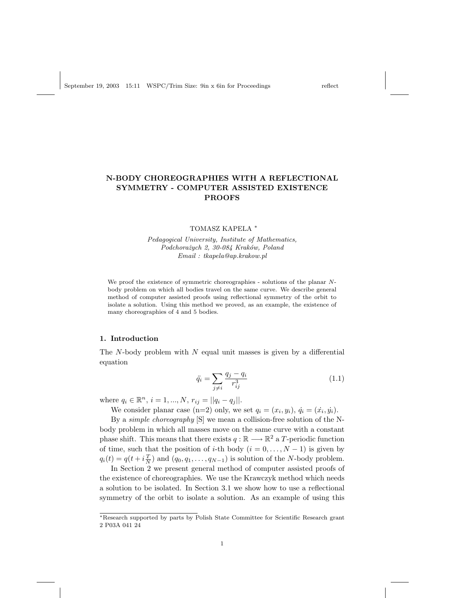# N-BODY CHOREOGRAPHIES WITH A REFLECTIONAL SYMMETRY - COMPUTER ASSISTED EXISTENCE PROOFS

#### TOMASZ KAPELA <sup>∗</sup>

Pedagogical University, Institute of Mathematics, Podchorażych 2, 30-084 Kraków, Poland Email : tkapela@ap.krakow.pl

We proof the existence of symmetric choreographies - solutions of the planar Nbody problem on which all bodies travel on the same curve. We describe general method of computer assisted proofs using reflectional symmetry of the orbit to isolate a solution. Using this method we proved, as an example, the existence of many choreographies of 4 and 5 bodies.

## 1. Introduction

The  $N$ -body problem with  $N$  equal unit masses is given by a differential equation

$$
\ddot{q}_i = \sum_{j \neq i} \frac{q_j - q_i}{r_{ij}^3} \tag{1.1}
$$

where  $q_i \in \mathbb{R}^n$ ,  $i = 1, ..., N$ ,  $r_{ij} = ||q_i - q_j||$ .

We consider planar case (n=2) only, we set  $q_i = (x_i, y_i), \, \dot{q}_i = (\dot{x}_i, \dot{y}_i).$ 

By a simple choreography [S] we mean a collision-free solution of the Nbody problem in which all masses move on the same curve with a constant phase shift. This means that there exists  $q : \mathbb{R} \longrightarrow \mathbb{R}^2$  a T-periodic function of time, such that the position of i-th body  $(i = 0, \ldots, N - 1)$  is given by  $q_i(t) = q(t + i\frac{T}{N})$  and  $(q_0, q_1, \dots, q_{N-1})$  is solution of the N-body problem.

In Section 2 we present general method of computer assisted proofs of the existence of choreographies. We use the Krawczyk method which needs a solution to be isolated. In Section 3.1 we show how to use a reflectional symmetry of the orbit to isolate a solution. As an example of using this

<sup>∗</sup>Research supported by parts by Polish State Committee for Scientific Research grant 2 P03A 041 24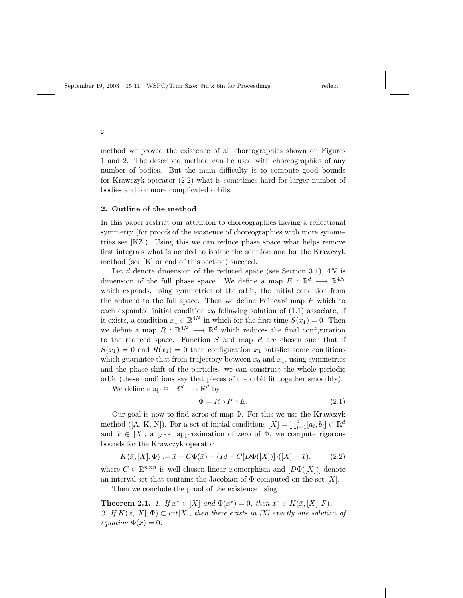2

method we proved the existence of all choreographies shown on Figures 1 and 2. The described method can be used with choreographies of any number of bodies. But the main difficulty is to compute good bounds for Krawczyk operator (2.2) what is sometimes hard for larger number of bodies and for more complicated orbits.

#### 2. Outline of the method

In this paper restrict our attention to choreographies having a reflectional symmetry (for proofs of the existence of choreographies with more symmetries see [KZ]). Using this we can reduce phase space what helps remove first integrals what is needed to isolate the solution and for the Krawczyk method (see [K] or end of this section) succeed.

Let  $d$  denote dimension of the reduced space (see Section 3.1),  $4N$  is dimension of the full phase space. We define a map  $E : \mathbb{R}^d \longrightarrow \mathbb{R}^{4N}$ which expands, using symmetries of the orbit, the initial condition from the reduced to the full space. Then we define Poincaré map  $P$  which to each expanded initial condition  $x_0$  following solution of  $(1.1)$  associate, if it exists, a condition  $x_1 \in \mathbb{R}^{4N}$  in which for the first time  $S(x_1) = 0$ . Then we define a map  $R : \mathbb{R}^{4N} \longrightarrow \mathbb{R}^d$  which reduces the final configuration to the reduced space. Function  $S$  and map  $R$  are chosen such that if  $S(x_1) = 0$  and  $R(x_1) = 0$  then configuration  $x_1$  satisfies some conditions which guarantee that from trajectory between  $x_0$  and  $x_1$ , using symmetries and the phase shift of the particles, we can construct the whole periodic orbit (these conditions say that pieces of the orbit fit together smoothly).

We define map  $\Phi : \mathbb{R}^d \longrightarrow \mathbb{R}^d$  by

$$
\Phi = R \circ P \circ E. \tag{2.1}
$$

Our goal is now to find zeros of map Φ. For this we use the Krawczyk method ([A, K, N]). For a set of initial conditions  $[X] = \prod_{i=1}^{d} [a_i, b_i] \subset \mathbb{R}^d$ and  $\bar{x} \in [X]$ , a good approximation of zero of  $\Phi$ , we compute rigorous bounds for the Krawczyk operator

$$
K(\bar{x}, [X], \Phi) := \bar{x} - C\Phi(\bar{x}) + (Id - C[D\Phi([X])])([X] - \bar{x}), \tag{2.2}
$$

where  $C \in \mathbb{R}^{n \times n}$  is well chosen linear isomorphism and  $[D\Phi([X])]$  denote an interval set that contains the Jacobian of  $\Phi$  computed on the set [X].

Then we conclude the proof of the existence using

**Theorem 2.1.** 1. If  $x^* \in [X]$  and  $\Phi(x^*) = 0$ , then  $x^* \in K(\bar{x}, [X], F)$ . 2. If  $K(\bar{x}, [X], \Phi) \subset int[X]$ , then there exists in  $[X]$  exactly one solution of equation  $\Phi(x) = 0$ .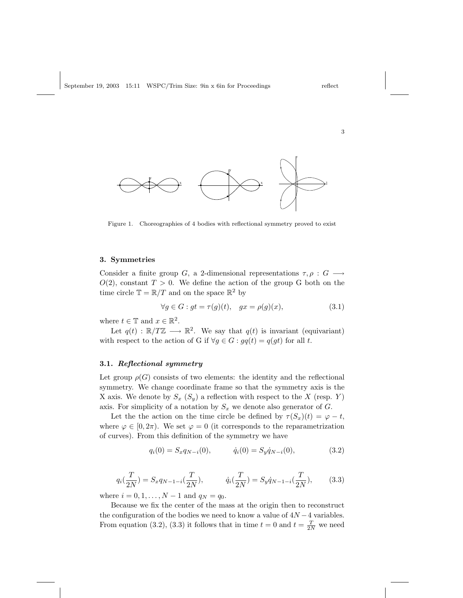

Figure 1. Choreographies of 4 bodies with reflectional symmetry proved to exist

#### 3. Symmetries

Consider a finite group G, a 2-dimensional representations  $\tau, \rho : G \longrightarrow$  $O(2)$ , constant  $T > 0$ . We define the action of the group G both on the time circle  $\mathbb{T} = \mathbb{R}/T$  and on the space  $\mathbb{R}^2$  by

$$
\forall g \in G : gt = \tau(g)(t), \quad gx = \rho(g)(x), \tag{3.1}
$$

where  $t \in \mathbb{T}$  and  $x \in \mathbb{R}^2$ .

Let  $q(t) : \mathbb{R}/T\mathbb{Z} \longrightarrow \mathbb{R}^2$ . We say that  $q(t)$  is invariant (equivariant) with respect to the action of G if  $\forall g \in G : gq(t) = q(gt)$  for all t.

### 3.1. Reflectional symmetry

Let group  $\rho(G)$  consists of two elements: the identity and the reflectional symmetry. We change coordinate frame so that the symmetry axis is the X axis. We denote by  $S_x(S_y)$  a reflection with respect to the X (resp. Y) axis. For simplicity of a notation by  $S_x$  we denote also generator of  $G$ .

Let the the action on the time circle be defined by  $\tau(S_x)(t) = \varphi - t$ , where  $\varphi \in [0, 2\pi)$ . We set  $\varphi = 0$  (it corresponds to the reparametrization of curves). From this definition of the symmetry we have

$$
q_i(0) = S_x q_{N-i}(0), \qquad \dot{q}_i(0) = S_y \dot{q}_{N-i}(0), \qquad (3.2)
$$

$$
q_i(\frac{T}{2N}) = S_x q_{N-1-i}(\frac{T}{2N}), \qquad \dot{q}_i(\frac{T}{2N}) = S_y \dot{q}_{N-1-i}(\frac{T}{2N}), \qquad (3.3)
$$

where  $i = 0, 1, ..., N - 1$  and  $q_N = q_0$ .

Because we fix the center of the mass at the origin then to reconstruct the configuration of the bodies we need to know a value of  $4N - 4$  variables. From equation (3.2), (3.3) it follows that in time  $t = 0$  and  $t = \frac{T}{2N}$  we need

3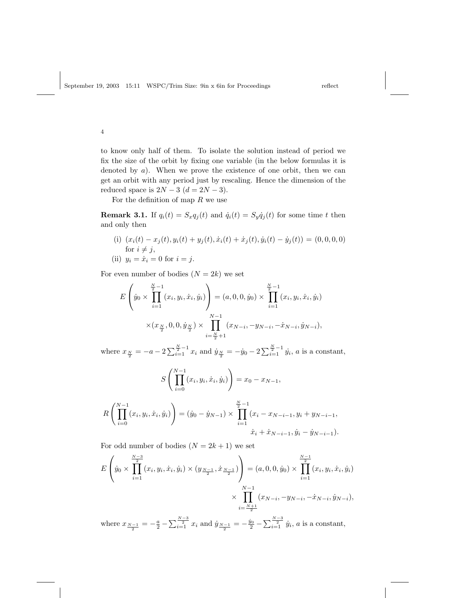4

to know only half of them. To isolate the solution instead of period we fix the size of the orbit by fixing one variable (in the below formulas it is denoted by a). When we prove the existence of one orbit, then we can get an orbit with any period just by rescaling. Hence the dimension of the reduced space is  $2N - 3$   $(d = 2N - 3)$ .

For the definition of map  $R$  we use

**Remark 3.1.** If  $q_i(t) = S_x q_j(t)$  and  $\dot{q}_i(t) = S_y \dot{q}_j(t)$  for some time t then and only then

(i)  $(x_i(t) - x_j(t), y_i(t) + y_j(t), \dot{x}_i(t) + \dot{x}_j(t), \dot{y}_i(t) - \dot{y}_j(t)) = (0, 0, 0, 0)$ for  $i \neq j$ ,

(ii) 
$$
y_i = \dot{x}_i = 0
$$
 for  $i = j$ .

For even number of bodies  $(N = 2k)$  we set

$$
E\left(\dot{y}_0 \times \prod_{i=1}^{\frac{N}{2}-1} (x_i, y_i, \dot{x}_i, \dot{y}_i)\right) = (a, 0, 0, \dot{y}_0) \times \prod_{i=1}^{\frac{N}{2}-1} (x_i, y_i, \dot{x}_i, \dot{y}_i)
$$

$$
\times (x_{\frac{N}{2}}, 0, 0, \dot{y}_{\frac{N}{2}}) \times \prod_{i=\frac{N}{2}+1}^{N-1} (x_{N-i}, -y_{N-i}, -\dot{x}_{N-i}, \dot{y}_{N-i}),
$$

where  $x_{\frac{N}{2}} = -a - 2\sum_{i=1}^{\frac{N}{2}-1} x_i$  and  $\dot{y}_{\frac{N}{2}} = -\dot{y}_0 - 2\sum_{i=1}^{\frac{N}{2}-1} \dot{y}_i$ , *a* is a constant,

$$
S\left(\prod_{i=0}^{N-1} (x_i, y_i, \dot{x}_i, \dot{y}_i)\right) = x_0 - x_{N-1},
$$

$$
R\left(\prod_{i=0}^{N-1} (x_i, y_i, \dot{x}_i, \dot{y}_i)\right) = (\dot{y}_0 - \dot{y}_{N-1}) \times \prod_{i=1}^{\frac{N}{2}-1} (x_i - x_{N-i-1}, y_i + y_{N-i-1}, y_i - \dot{y}_{N-i-1})
$$
  

$$
\dot{x}_i + \dot{x}_{N-i-1}, \dot{y}_i - \dot{y}_{N-i-1}).
$$

For odd number of bodies  $(N = 2k + 1)$  we set

$$
E\left(\dot{y}_0 \times \prod_{i=1}^{\frac{N-3}{2}} (x_i, y_i, \dot{x}_i, \dot{y}_i) \times (y_{\frac{N-1}{2}}, \dot{x}_{\frac{N-1}{2}})\right) = (a, 0, 0, \dot{y}_0) \times \prod_{i=1}^{\frac{N-1}{2}} (x_i, y_i, \dot{x}_i, \dot{y}_i)
$$

$$
\times \prod_{i=\frac{N+1}{2}}^{N-1} (x_{N-i}, -y_{N-i}, -\dot{x}_{N-i}, \dot{y}_{N-i}),
$$
where  $x_{\frac{N-1}{2}} = -\frac{a}{2} - \sum_{i=1}^{\frac{N-3}{2}} x_i$  and  $\dot{y}_{\frac{N-1}{2}} = -\frac{\dot{y}_0}{2} - \sum_{i=1}^{\frac{N-3}{2}} \dot{y}_i$ , *a* is a constant,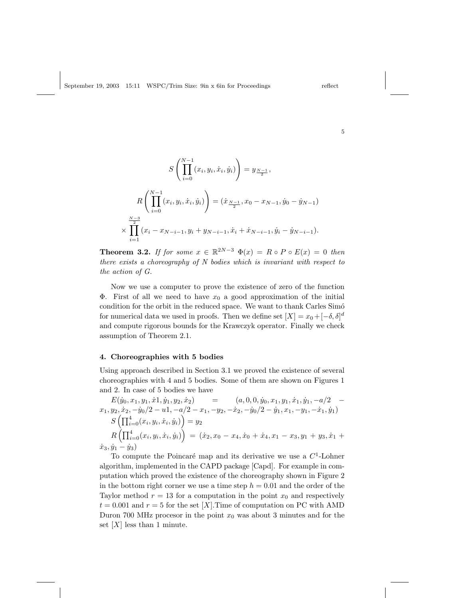5

$$
S\left(\prod_{i=0}^{N-1} (x_i, y_i, \dot{x}_i, \dot{y}_i)\right) = y_{\frac{N-1}{2}},
$$
  

$$
R\left(\prod_{i=0}^{N-1} (x_i, y_i, \dot{x}_i, \dot{y}_i)\right) = (\dot{x}_{\frac{N-1}{2}}, x_0 - x_{N-1}, \dot{y}_0 - \dot{y}_{N-1})
$$
  

$$
\times \prod_{i=1}^{\frac{N-3}{2}} (x_i - x_{N-i-1}, y_i + y_{N-i-1}, \dot{x}_i + \dot{x}_{N-i-1}, \dot{y}_i - \dot{y}_{N-i-1}).
$$

**Theorem 3.2.** If for some  $x \in \mathbb{R}^{2N-3}$   $\Phi(x) = R \circ P \circ E(x) = 0$  then there exists a choreography of N bodies which is invariant with respect to the action of G.

Now we use a computer to prove the existence of zero of the function  $\Phi$ . First of all we need to have  $x_0$  a good approximation of the initial condition for the orbit in the reduced space. We want to thank Carles Simó for numerical data we used in proofs. Then we define set  $[X] = x_0 + [-\delta, \delta]^d$ and compute rigorous bounds for the Krawczyk operator. Finally we check assumption of Theorem 2.1.

## 4. Choreographies with 5 bodies

 $\rightarrow$ 

Using approach described in Section 3.1 we proved the existence of several choreographies with 4 and 5 bodies. Some of them are shown on Figures 1 and 2. In case of 5 bodies we have

 $E(\dot y_0, x_1, y_1, \dot x1, \dot y_1, y_2, \dot x_2) = (a, 0, 0, \dot y_0, x_1, y_1, \dot x_1, \dot y_1, -a/2$  $x_1, y_2, \dot{x}_2, -\dot{y}_0/2 - u_1, -a/2 - x_1, -y_2, -\dot{x}_2, -\dot{y}_0/2 - \dot{y}_1, x_1, -y_1, -\dot{x}_1, \dot{y}_1)$  $y_2, x_2, -y_0/2-u_1, -\alpha$ <br> $S\left(\prod_{i=0}^4 (x_i, y_i, \dot{x}_i, \dot{y}_i)\right)$  $\frac{l}{\sqrt{2}}$  $=y_2$  $R \left( \prod_{i=1}^{4} \right)$  $_{i=0}^{4}(x_i,y_i,\dot{x}_i,\dot{y}_i)$  $\langle$  $=$   $(\dot{x}_2, x_0 - x_4, \dot{x}_0 + \dot{x}_4, x_1 - x_3, y_1 + y_3, \dot{x}_1 +$  $\dot{x}_3, \dot{y}_1 - \dot{y}_3$ 

To compute the Poincaré map and its derivative we use a  $C<sup>1</sup>$ -Lohner algorithm, implemented in the CAPD package [Capd]. For example in computation which proved the existence of the choreography shown in Figure 2 in the bottom right corner we use a time step  $h = 0.01$  and the order of the Taylor method  $r = 13$  for a computation in the point  $x_0$  and respectively  $t = 0.001$  and  $r = 5$  for the set [X]. Time of computation on PC with AMD Duron 700 MHz processor in the point  $x_0$  was about 3 minutes and for the set  $[X]$  less than 1 minute.